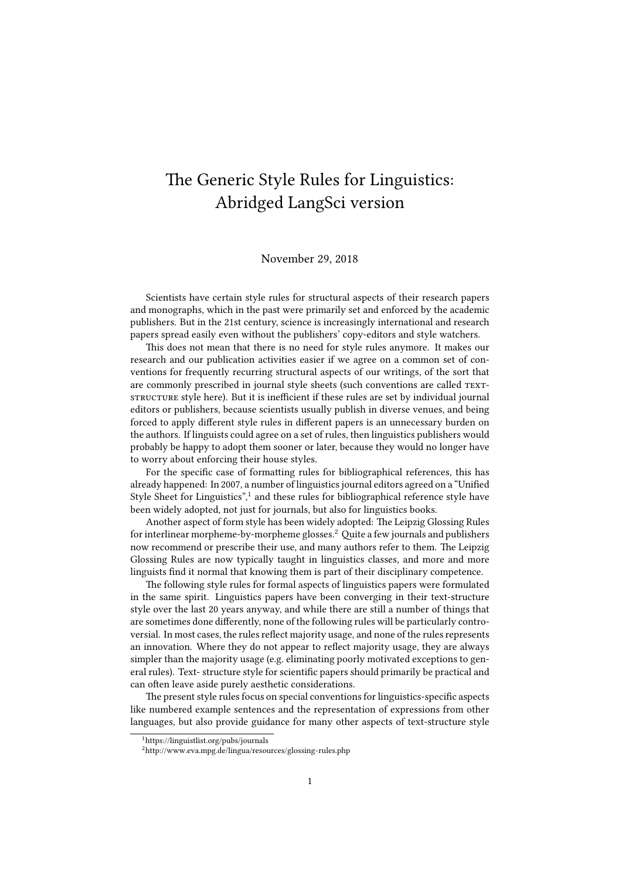# The Generic Style Rules for Linguistics: Abridged LangSci version

#### November 29, 2018

Scientists have certain style rules for structural aspects of their research papers and monographs, which in the past were primarily set and enforced by the academic publishers. But in the 21st century, science is increasingly international and research papers spread easily even without the publishers' copy-editors and style watchers.

This does not mean that there is no need for style rules anymore. It makes our research and our publication activities easier if we agree on a common set of conventions for frequently recurring structural aspects of our writings, of the sort that are commonly prescribed in journal style sheets (such conventions are called TEXTstructure style here). But it is inefficient if these rules are set by individual journal editors or publishers, because scientists usually publish in diverse venues, and being forced to apply different style rules in different papers is an unnecessary burden on the authors. If linguists could agree on a set of rules, then linguistics publishers would probably be happy to adopt them sooner or later, because they would no longer have to worry about enforcing their house styles.

For the specific case of formatting rules for bibliographical references, this has already happened: In 2007, a number of linguistics journal editors agreed on a "Unified Style Sheet for Linguistics",<sup>1</sup> and these rules for bibliographical reference style have been widely adopted, not just for journals, but also for linguistics books.

Another aspect of form style has been widely adopted: The Leipzig Glossing Rules for interlinear morpheme-by-morpheme glosses.<sup>2</sup> Quite a few journals and publishers now recommend or prescribe their use, and many authors refer to them. The Leipzig Glossing Rules are now typically taught in linguistics classes, and more and more linguists find it normal that knowing them is part of their disciplinary competence.

The following style rules for formal aspects of linguistics papers were formulated in the same spirit. Linguistics papers have been converging in their text-structure style over the last 20 years anyway, and while there are still a number of things that are sometimes done differently, none of the following rules will be particularly controversial. In most cases, the rules reflect majority usage, and none of the rules represents an innovation. Where they do not appear to reflect majority usage, they are always simpler than the majority usage (e.g. eliminating poorly motivated exceptions to general rules). Text- structure style for scientific papers should primarily be practical and can often leave aside purely aesthetic considerations.

The present style rules focus on special conventions for linguistics-specific aspects like numbered example sentences and the representation of expressions from other languages, but also provide guidance for many other aspects of text-structure style

<sup>1</sup>https://linguistlist.org/pubs/journals

<sup>&</sup>lt;sup>2</sup>http://www.eva.mpg.de/lingua/resources/glossing-rules.php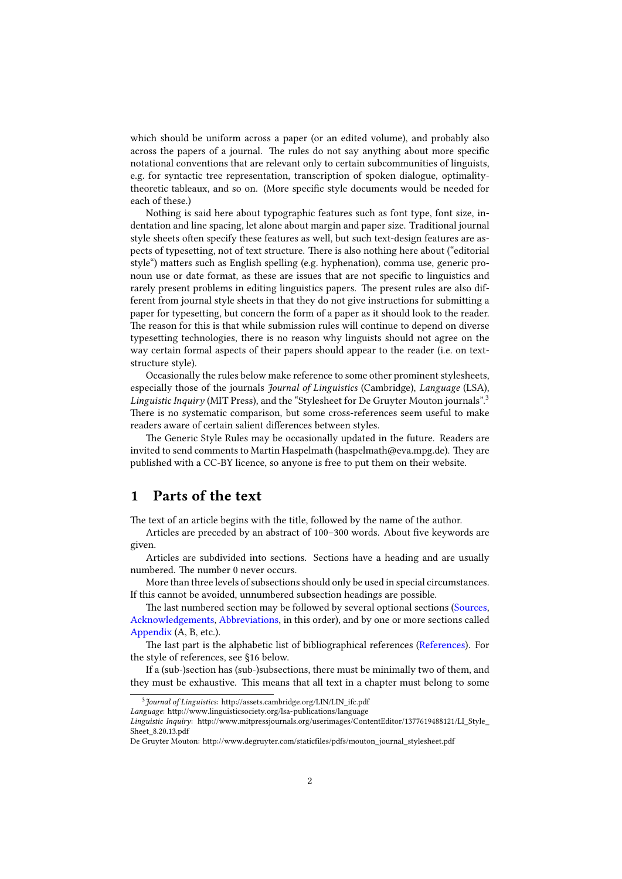which should be uniform across a paper (or an edited volume), and probably also across the papers of a journal. The rules do not say anything about more specific notational conventions that are relevant only to certain subcommunities of linguists, e.g. for syntactic tree representation, transcription of spoken dialogue, optimalitytheoretic tableaux, and so on. (More specific style documents would be needed for each of these.)

Nothing is said here about typographic features such as font type, font size, indentation and line spacing, let alone about margin and paper size. Traditional journal style sheets often specify these features as well, but such text-design features are aspects of typesetting, not of text structure. There is also nothing here about ("editorial style") matters such as English spelling (e.g. hyphenation), comma use, generic pronoun use or date format, as these are issues that are not specific to linguistics and rarely present problems in editing linguistics papers. The present rules are also different from journal style sheets in that they do not give instructions for submitting a paper for typesetting, but concern the form of a paper as it should look to the reader. The reason for this is that while submission rules will continue to depend on diverse typesetting technologies, there is no reason why linguists should not agree on the way certain formal aspects of their papers should appear to the reader (i.e. on textstructure style).

Occasionally the rules below make reference to some other prominent stylesheets, especially those of the journals *Journal of Linguistics* (Cambridge), *Language* (LSA), *Linguistic Inquiry* (MIT Press), and the "Stylesheet for De Gruyter Mouton journals".<sup>3</sup> There is no systematic comparison, but some cross-references seem useful to make readers aware of certain salient differences between styles.

The Generic Style Rules may be occasionally updated in the future. Readers are invited to send comments to Martin Haspelmath (haspelmath@eva.mpg.de). They are published with a CC-BY licence, so anyone is free to put them on their website.

# **1 Parts of the text**

The text of an article begins with the title, followed by the name of the author.

Articles are preceded by an abstract of 100–300 words. About five keywords are given.

Articles are subdivided into sections. Sections have a heading and are usually numbered. The number 0 never occurs.

More than three levels of subsections should only be used in special circumstances. If this cannot be avoided, unnumbered subsection headings are possible.

The last numbered section may be followed by several optional sections (Sources, Acknowledgements, Abbreviations, in this order), and by one or more sections called Appendix (A, B, etc.).

The last part is the alphabetic list of bibliographical references (References). For the style of references, see §16 below.

If a (sub-)section has (sub-)subsections, there must be minimally two of them, and they must be exhaustive. This means that all text in a chapter must belong to some

<sup>3</sup> *Journal of Linguistics*: http://assets.cambridge.org/LIN/LIN\_ifc.pdf

*Language*: http://www.linguisticsociety.org/lsa-publications/language

*Linguistic Inquiry*: http://www.mitpressjournals.org/userimages/ContentEditor/1377619488121/LI\_Style\_ Sheet\_8.20.13.pdf

De Gruyter Mouton: http://www.degruyter.com/staticfiles/pdfs/mouton\_journal\_stylesheet.pdf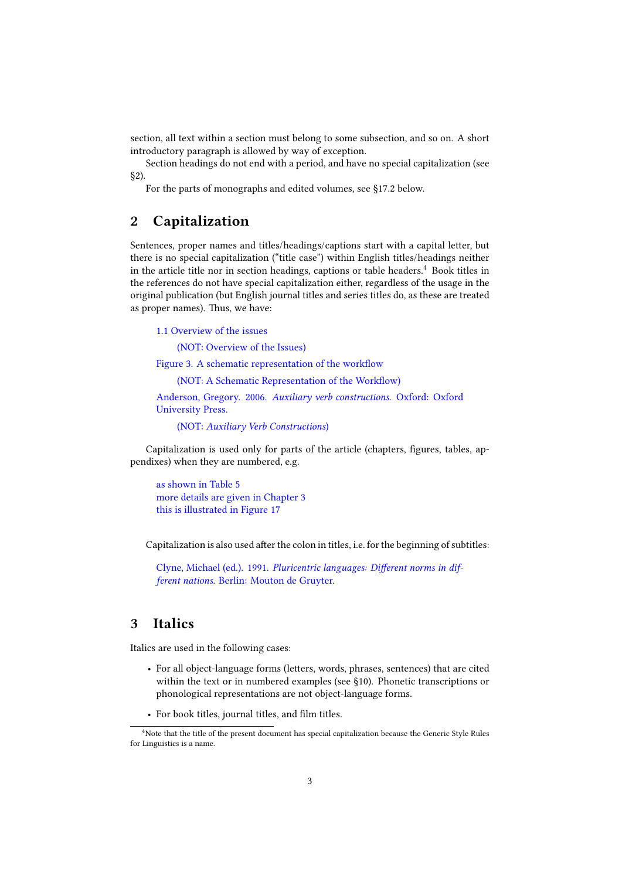section, all text within a section must belong to some subsection, and so on. A short introductory paragraph is allowed by way of exception.

Section headings do not end with a period, and have no special capitalization (see §2).

For the parts of monographs and edited volumes, see §17.2 below.

# **2 Capitalization**

Sentences, proper names and titles/headings/captions start with a capital letter, but there is no special capitalization ("title case") within English titles/headings neither in the article title nor in section headings, captions or table headers.<sup>4</sup> Book titles in the references do not have special capitalization either, regardless of the usage in the original publication (but English journal titles and series titles do, as these are treated as proper names). Thus, we have:

1.1 Overview of the issues

(NOT: Overview of the Issues)

Figure 3. A schematic representation of the workflow

(NOT: A Schematic Representation of the Workflow)

Anderson, Gregory. 2006. *Auxiliary verb constructions*. Oxford: Oxford University Press.

(NOT: *Auxiliary Verb Constructions*)

Capitalization is used only for parts of the article (chapters, figures, tables, appendixes) when they are numbered, e.g.

as shown in Table 5 more details are given in Chapter 3 this is illustrated in Figure 17

Capitalization is also used after the colon in titles, i.e. for the beginning of subtitles:

Clyne, Michael (ed.). 1991. *Pluricentric languages: Different norms in different nations.* Berlin: Mouton de Gruyter.

# **3 Italics**

Italics are used in the following cases:

- For all object-language forms (letters, words, phrases, sentences) that are cited within the text or in numbered examples (see §10). Phonetic transcriptions or phonological representations are not object-language forms.
- For book titles, journal titles, and film titles.

<sup>&</sup>lt;sup>4</sup>Note that the title of the present document has special capitalization because the Generic Style Rules for Linguistics is a name.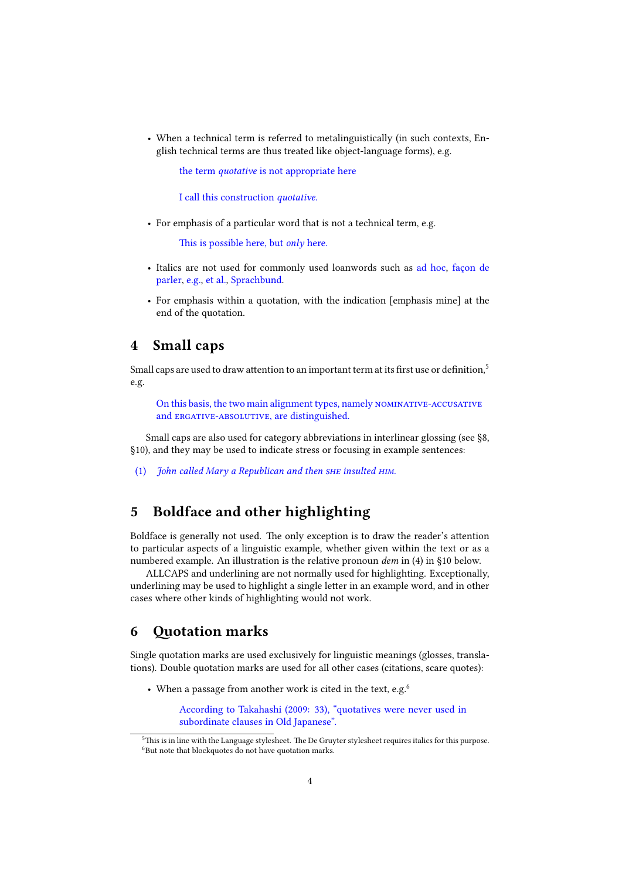• When a technical term is referred to metalinguistically (in such contexts, English technical terms are thus treated like object-language forms), e.g.

the term *quotative* is not appropriate here

I call this construction *quotative*.

• For emphasis of a particular word that is not a technical term, e.g.

This is possible here, but *only* here.

- Italics are not used for commonly used loanwords such as ad hoc, façon de parler, e.g., et al., Sprachbund.
- For emphasis within a quotation, with the indication [emphasis mine] at the end of the quotation.

#### **4 Small caps**

Small caps are used to draw attention to an important term at its first use or definition,<sup>5</sup> e.g.

On this basis, the two main alignment types, namely nominative-accusative and ERGATIVE-ABSOLUTIVE, are distinguished.

Small caps are also used for category abbreviations in interlinear glossing (see §8, §10), and they may be used to indicate stress or focusing in example sentences:

(1) *John called Mary a Republican and then she insulted him.*

# **5 Boldface and other highlighting**

Boldface is generally not used. The only exception is to draw the reader's attention to particular aspects of a linguistic example, whether given within the text or as a numbered example. An illustration is the relative pronoun *dem* in (4) in §10 below.

ALLCAPS and underlining are not normally used for highlighting. Exceptionally, underlining may be used to highlight a single letter in an example word, and in other cases where other kinds of highlighting would not work.

## **6 Quotation marks**

Single quotation marks are used exclusively for linguistic meanings (glosses, translations). Double quotation marks are used for all other cases (citations, scare quotes):

• When a passage from another work is cited in the text, e.g.<sup>6</sup>

According to Takahashi (2009: 33), "quotatives were never used in subordinate clauses in Old Japanese".

<sup>&</sup>lt;sup>5</sup>This is in line with the Language stylesheet. The De Gruyter stylesheet requires italics for this purpose. <sup>6</sup>But note that blockquotes do not have quotation marks.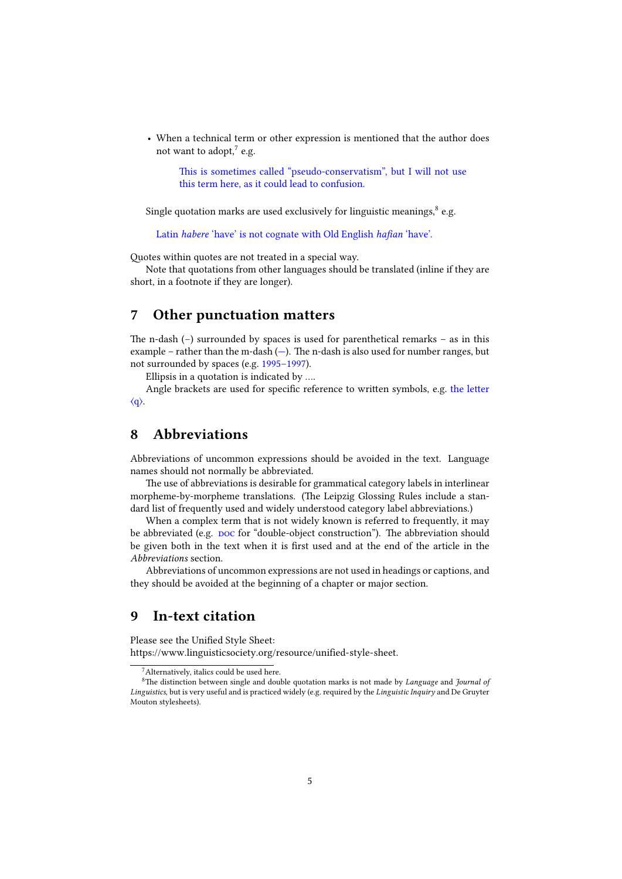• When a technical term or other expression is mentioned that the author does not want to adopt,<sup>7</sup> e.g.

This is sometimes called "pseudo-conservatism", but I will not use this term here, as it could lead to confusion.

Single quotation marks are used exclusively for linguistic meanings,<sup>8</sup> e.g.

Latin *habere* 'have' is not cognate with Old English *hafian* 'have'.

Quotes within quotes are not treated in a special way.

Note that quotations from other languages should be translated (inline if they are short, in a footnote if they are longer).

# **7 Other punctuation matters**

The n-dash (–) surrounded by spaces is used for parenthetical remarks – as in this example – rather than the m-dash  $(-)$ . The n-dash is also used for number ranges, but not surrounded by spaces (e.g. 1995–1997).

Ellipsis in a quotation is indicated by ….

Angle brackets are used for specific reference to written symbols, e.g. the letter  $\langle q \rangle$ .

# **8 Abbreviations**

Abbreviations of uncommon expressions should be avoided in the text. Language names should not normally be abbreviated.

The use of abbreviations is desirable for grammatical category labels in interlinear morpheme-by-morpheme translations. (The Leipzig Glossing Rules include a standard list of frequently used and widely understood category label abbreviations.)

When a complex term that is not widely known is referred to frequently, it may be abbreviated (e.g. poc for "double-object construction"). The abbreviation should be given both in the text when it is first used and at the end of the article in the *Abbreviations* section.

Abbreviations of uncommon expressions are not used in headings or captions, and they should be avoided at the beginning of a chapter or major section.

#### **9 In-text citation**

Please see the Unified Style Sheet:

https://www.linguisticsociety.org/resource/unified-style-sheet.

<sup>&</sup>lt;sup>7</sup> Alternatively, italics could be used here.

<sup>8</sup>The distinction between single and double quotation marks is not made by *Language* and *Journal of Linguistics*, but is very useful and is practiced widely (e.g. required by the *Linguistic Inquiry* and De Gruyter Mouton stylesheets).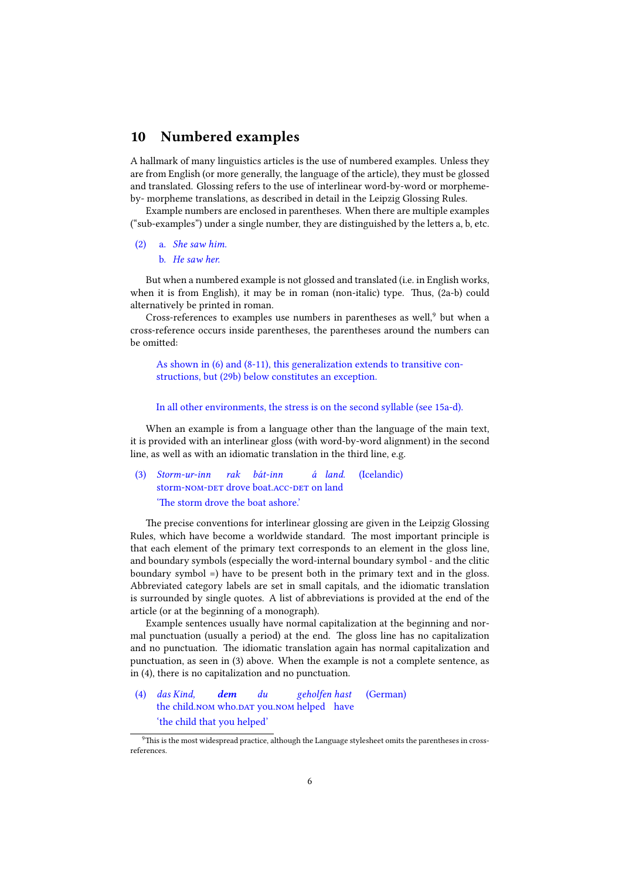## **10 Numbered examples**

A hallmark of many linguistics articles is the use of numbered examples. Unless they are from English (or more generally, the language of the article), they must be glossed and translated. Glossing refers to the use of interlinear word-by-word or morphemeby- morpheme translations, as described in detail in the Leipzig Glossing Rules.

Example numbers are enclosed in parentheses. When there are multiple examples ("sub-examples") under a single number, they are distinguished by the letters a, b, etc.

# (2) a. *She saw him.*

b. *He saw her.*

But when a numbered example is not glossed and translated (i.e. in English works, when it is from English), it may be in roman (non-italic) type. Thus, (2a-b) could alternatively be printed in roman.

Cross-references to examples use numbers in parentheses as well, $9$  but when a cross-reference occurs inside parentheses, the parentheses around the numbers can be omitted:

As shown in (6) and (8-11), this generalization extends to transitive constructions, but (29b) below constitutes an exception.

#### In all other environments, the stress is on the second syllable (see 15a-d).

When an example is from a language other than the language of the main text, it is provided with an interlinear gloss (with word-by-word alignment) in the second line, as well as with an idiomatic translation in the third line, e.g.

#### (3) *Storm-ur-inn* storm-NOM-DET drove boat.ACC-DET on land *rak bát-inn á land.* (Icelandic) 'The storm drove the boat ashore.'

The precise conventions for interlinear glossing are given in the Leipzig Glossing Rules, which have become a worldwide standard. The most important principle is that each element of the primary text corresponds to an element in the gloss line, and boundary symbols (especially the word-internal boundary symbol - and the clitic boundary symbol =) have to be present both in the primary text and in the gloss. Abbreviated category labels are set in small capitals, and the idiomatic translation is surrounded by single quotes. A list of abbreviations is provided at the end of the article (or at the beginning of a monograph).

Example sentences usually have normal capitalization at the beginning and normal punctuation (usually a period) at the end. The gloss line has no capitalization and no punctuation. The idiomatic translation again has normal capitalization and punctuation, as seen in (3) above. When the example is not a complete sentence, as in (4), there is no capitalization and no punctuation.

#### (4) *das Kind,* the child.NOM who.DAT you.NOM helped have *dem du geholfen hast* (German) 'the child that you helped'

<sup>9</sup>This is the most widespread practice, although the Language stylesheet omits the parentheses in crossreferences.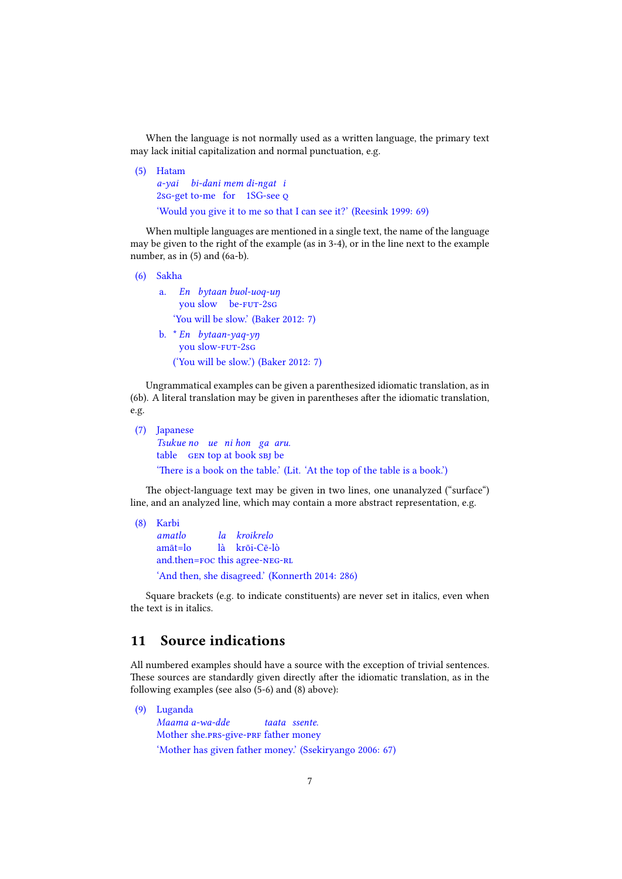When the language is not normally used as a written language, the primary text may lack initial capitalization and normal punctuation, e.g.

(5) Hatam *a-yai bi-dani mem di-ngat i* 2sG-get to-me for 1SG-see Q 'Would you give it to me so that I can see it?' (Reesink 1999: 69)

When multiple languages are mentioned in a single text, the name of the language may be given to the right of the example (as in 3-4), or in the line next to the example number, as in (5) and (6a-b).

(6) Sakha a. *En bytaan buol-uoq-uŋ* you slow be-FUT-2sG 'You will be slow.' (Baker 2012: 7) b. \* *En bytaan-yaq-yŋ* you slow-FUT-2sG ('You will be slow.') (Baker 2012: 7)

Ungrammatical examples can be given a parenthesized idiomatic translation, as in (6b). A literal translation may be given in parentheses after the idiomatic translation, e.g.

```
(7) Japanese
     Tsukue
no
ue
ni
hon
ga
aru.
     table GEN top at book SBJ be
     'There is a book on the table.' (Lit. 'At the top of the table is a book.')
```
The object-language text may be given in two lines, one unanalyzed ("surface") line, and an analyzed line, which may contain a more abstract representation, e.g.

```
(8) Karbi
    amatlo
    amāt=lo
     and.then=FOC this agree-NEG-RL
                   la
kroikrelo
                   là
krōi-Cē-lò
     'And then, she disagreed.' (Konnerth 2014: 286)
```
Square brackets (e.g. to indicate constituents) are never set in italics, even when the text is in italics.

# **11 Source indications**

All numbered examples should have a source with the exception of trivial sentences. These sources are standardly given directly after the idiomatic translation, as in the following examples (see also (5-6) and (8) above):

(9) Luganda *Maama a-wa-dde* Mother she.PRS-give-PRF father money *taata ssente.* 'Mother has given father money.' (Ssekiryango 2006: 67)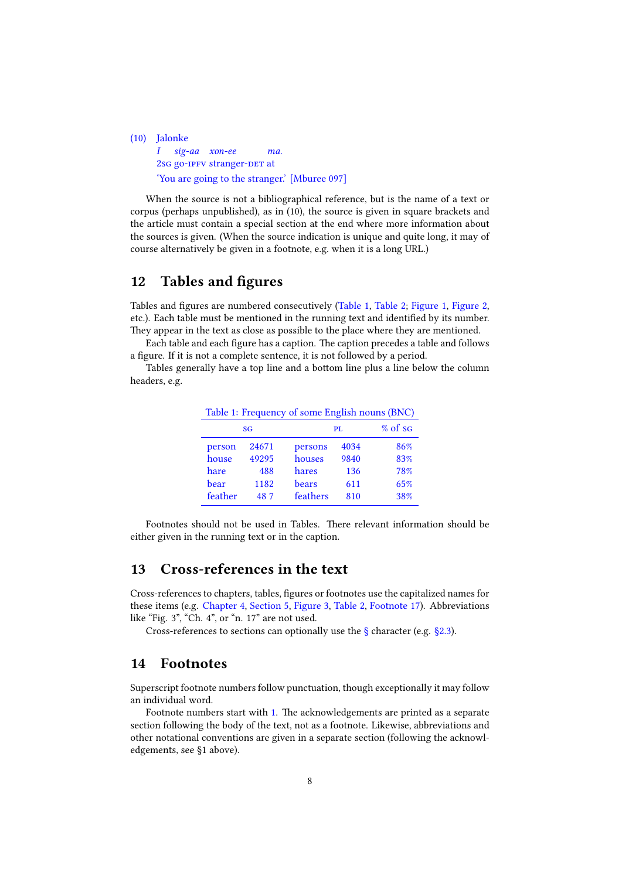(10) Jalonke *I sig-aa xon-ee* 2sG go-IPFV stranger-DET at *ma.* 'You are going to the stranger.' [Mburee 097]

When the source is not a bibliographical reference, but is the name of a text or corpus (perhaps unpublished), as in (10), the source is given in square brackets and the article must contain a special section at the end where more information about the sources is given. (When the source indication is unique and quite long, it may of course alternatively be given in a footnote, e.g. when it is a long URL.)

# **12 Tables and figures**

Tables and figures are numbered consecutively (Table 1, Table 2; Figure 1, Figure 2, etc.). Each table must be mentioned in the running text and identified by its number. They appear in the text as close as possible to the place where they are mentioned.

Each table and each figure has a caption. The caption precedes a table and follows a figure. If it is not a complete sentence, it is not followed by a period.

Tables generally have a top line and a bottom line plus a line below the column headers, e.g.

| Table 1: Frequency of some English nouns (BNC) |       |          |      |         |
|------------------------------------------------|-------|----------|------|---------|
| SG                                             |       | PL       |      | % of sg |
| person                                         | 24671 | persons  | 4034 | 86%     |
| house                                          | 49295 | houses   | 9840 | 83%     |
| hare                                           | 488   | hares    | 136  | 78%     |
| bear                                           | 1182  | bears    | 611  | 65%     |
| feather                                        | 487   | feathers | 810  | 38%     |

Footnotes should not be used in Tables. There relevant information should be either given in the running text or in the caption.

# **13 Cross-references in the text**

Cross-references to chapters, tables, figures or footnotes use the capitalized names for these items (e.g. Chapter 4, Section 5, Figure 3, Table 2, Footnote 17). Abbreviations like "Fig. 3", "Ch. 4", or "n. 17" are not used.

Cross-references to sections can optionally use the  $\S$  character (e.g.  $\S$ 2.3).

## **14 Footnotes**

Superscript footnote numbers follow punctuation, though exceptionally it may follow an individual word.

Footnote numbers start with 1. The acknowledgements are printed as a separate section following the body of the text, not as a footnote. Likewise, abbreviations and other notational conventions are given in a separate section (following the acknowledgements, see §1 above).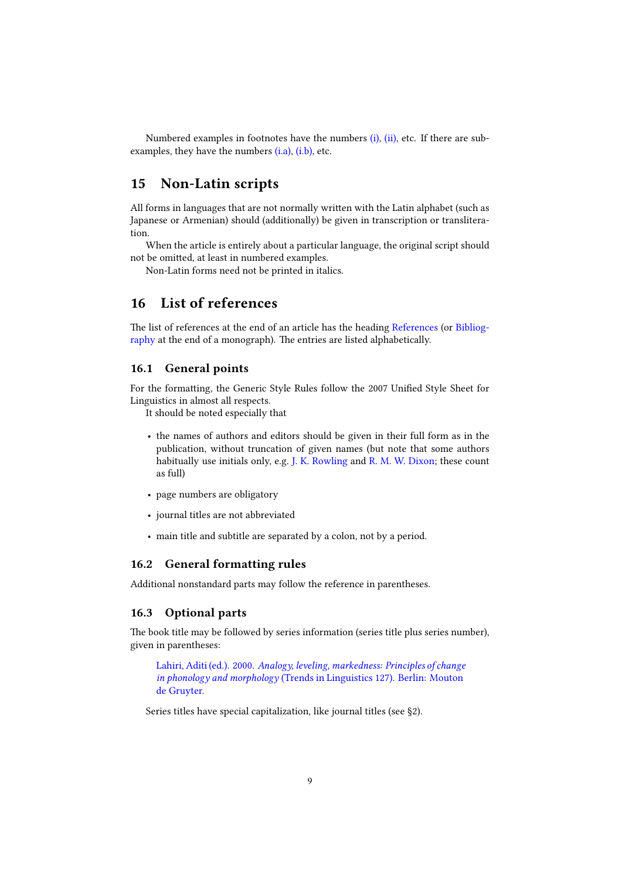Numbered examples in footnotes have the numbers  $(i)$ ,  $(ii)$ , etc. If there are subexamples, they have the numbers (i.a), (i.b), etc.

# **15 Non-Latin scripts**

All forms in languages that are not normally written with the Latin alphabet (such as Japanese or Armenian) should (additionally) be given in transcription or transliteration.

When the article is entirely about a particular language, the original script should not be omitted, at least in numbered examples.

Non-Latin forms need not be printed in italics.

# **16 List of references**

The list of references at the end of an article has the heading References (or Bibliography at the end of a monograph). The entries are listed alphabetically.

#### **16.1 General points**

For the formatting, the Generic Style Rules follow the 2007 Unified Style Sheet for Linguistics in almost all respects.

It should be noted especially that

- the names of authors and editors should be given in their full form as in the publication, without truncation of given names (but note that some authors habitually use initials only, e.g. J. K. Rowling and R. M. W. Dixon; these count as full)
- page numbers are obligatory
- journal titles are not abbreviated
- main title and subtitle are separated by a colon, not by a period.

#### **16.2 General formatting rules**

Additional nonstandard parts may follow the reference in parentheses.

#### **16.3 Optional parts**

The book title may be followed by series information (series title plus series number), given in parentheses:

Lahiri, Aditi (ed.). 2000. *Analogy, leveling, markedness: Principles of change in phonology and morphology* (Trends in Linguistics 127). Berlin: Mouton de Gruyter.

Series titles have special capitalization, like journal titles (see §2).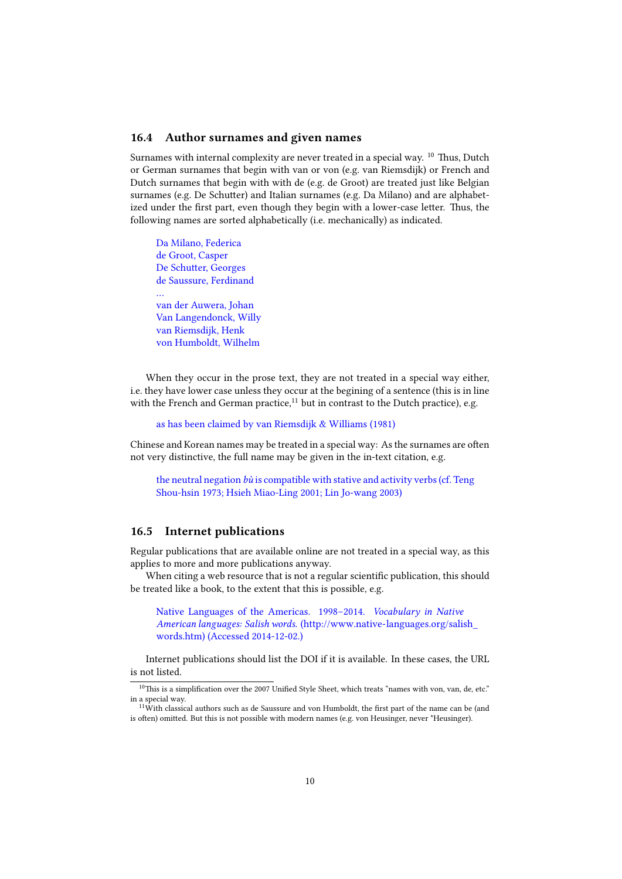#### **16.4 Author surnames and given names**

Surnames with internal complexity are never treated in a special way.  $^{10}$  Thus, Dutch or German surnames that begin with van or von (e.g. van Riemsdijk) or French and Dutch surnames that begin with with de (e.g. de Groot) are treated just like Belgian surnames (e.g. De Schutter) and Italian surnames (e.g. Da Milano) and are alphabetized under the first part, even though they begin with a lower-case letter. Thus, the following names are sorted alphabetically (i.e. mechanically) as indicated.

Da Milano, Federica de Groot, Casper De Schutter, Georges de Saussure, Ferdinand … van der Auwera, Johan Van Langendonck, Willy van Riemsdijk, Henk von Humboldt, Wilhelm

When they occur in the prose text, they are not treated in a special way either, i.e. they have lower case unless they occur at the begining of a sentence (this is in line with the French and German practice, $11$  but in contrast to the Dutch practice), e.g.

as has been claimed by van Riemsdijk & Williams (1981)

Chinese and Korean names may be treated in a special way: As the surnames are often not very distinctive, the full name may be given in the in-text citation, e.g.

the neutral negation *bù* is compatible with stative and activity verbs (cf. Teng Shou-hsin 1973; Hsieh Miao-Ling 2001; Lin Jo-wang 2003)

#### **16.5 Internet publications**

Regular publications that are available online are not treated in a special way, as this applies to more and more publications anyway.

When citing a web resource that is not a regular scientific publication, this should be treated like a book, to the extent that this is possible, e.g.

Native Languages of the Americas. 1998–2014. *Vocabulary in Native American languages: Salish words.* (http://www.native-languages.org/salish\_ words.htm) (Accessed 2014-12-02.)

Internet publications should list the DOI if it is available. In these cases, the URL is not listed.

 $10$ This is a simplification over the 2007 Unified Style Sheet, which treats "names with von, van, de, etc." in a special way.

<sup>&</sup>lt;sup>11</sup>With classical authors such as de Saussure and von Humboldt, the first part of the name can be (and is often) omitted. But this is not possible with modern names (e.g. von Heusinger, never \*Heusinger).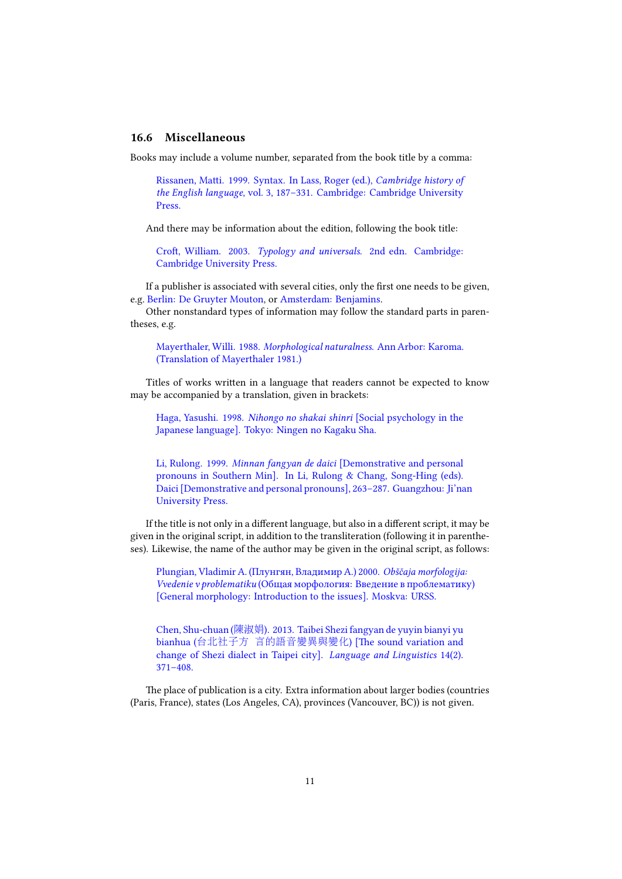#### **16.6 Miscellaneous**

Books may include a volume number, separated from the book title by a comma:

Rissanen, Matti. 1999. Syntax. In Lass, Roger (ed.), *Cambridge history of the English language*, vol. 3, 187–331. Cambridge: Cambridge University Press.

And there may be information about the edition, following the book title:

Croft, William. 2003. *Typology and universals*. 2nd edn. Cambridge: Cambridge University Press.

If a publisher is associated with several cities, only the first one needs to be given, e.g. Berlin: De Gruyter Mouton, or Amsterdam: Benjamins.

Other nonstandard types of information may follow the standard parts in parentheses, e.g.

Mayerthaler, Willi. 1988. *Morphological naturalness*. Ann Arbor: Karoma. (Translation of Mayerthaler 1981.)

Titles of works written in a language that readers cannot be expected to know may be accompanied by a translation, given in brackets:

Haga, Yasushi. 1998. *Nihongo no shakai shinri* [Social psychology in the Japanese language]. Tokyo: Ningen no Kagaku Sha.

Li, Rulong. 1999. *Minnan fangyan de daici* [Demonstrative and personal pronouns in Southern Min]. In Li, Rulong & Chang, Song-Hing (eds). Daici [Demonstrative and personal pronouns], 263–287. Guangzhou: Ji'nan University Press.

If the title is not only in a different language, but also in a different script, it may be given in the original script, in addition to the transliteration (following it in parentheses). Likewise, the name of the author may be given in the original script, as follows:

Plungian, Vladimir A. (Плунгян, Владимир А.) 2000. *Obščaja morfologija: Vvedenie v problematiku* (Общая морфология: Введение в проблематику) [General morphology: Introduction to the issues]. Moskva: URSS.

Chen, Shu-chuan (陳淑娟). 2013. Taibei Shezi fangyan de yuyin bianyi yu bianhua (台北社子方 言的語音變異與變化) [The sound variation and change of Shezi dialect in Taipei city]. *Language and Linguistics* 14(2). 371–408.

The place of publication is a city. Extra information about larger bodies (countries (Paris, France), states (Los Angeles, CA), provinces (Vancouver, BC)) is not given.